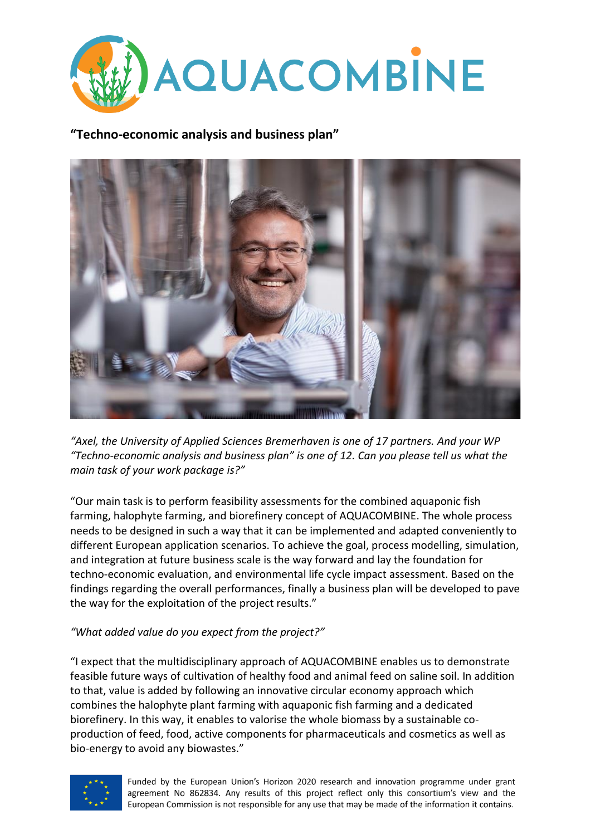

## **"Techno-economic analysis and business plan"**



*"Axel, the University of Applied Sciences Bremerhaven is one of 17 partners. And your WP "Techno-economic analysis and business plan" is one of 12. Can you please tell us what the main task of your work package is?"*

"Our main task is to perform feasibility assessments for the combined aquaponic fish farming, halophyte farming, and biorefinery concept of AQUACOMBINE. The whole process needs to be designed in such a way that it can be implemented and adapted conveniently to different European application scenarios. To achieve the goal, process modelling, simulation, and integration at future business scale is the way forward and lay the foundation for techno-economic evaluation, and environmental life cycle impact assessment. Based on the findings regarding the overall performances, finally a business plan will be developed to pave the way for the exploitation of the project results."

## *"What added value do you expect from the project?"*

"I expect that the multidisciplinary approach of AQUACOMBINE enables us to demonstrate feasible future ways of cultivation of healthy food and animal feed on saline soil. In addition to that, value is added by following an innovative circular economy approach which combines the halophyte plant farming with aquaponic fish farming and a dedicated biorefinery. In this way, it enables to valorise the whole biomass by a sustainable coproduction of feed, food, active components for pharmaceuticals and cosmetics as well as bio-energy to avoid any biowastes."



Funded by the European Union's Horizon 2020 research and innovation programme under grant agreement No 862834. Any results of this project reflect only this consortium's view and the European Commission is not responsible for any use that may be made of the information it contains.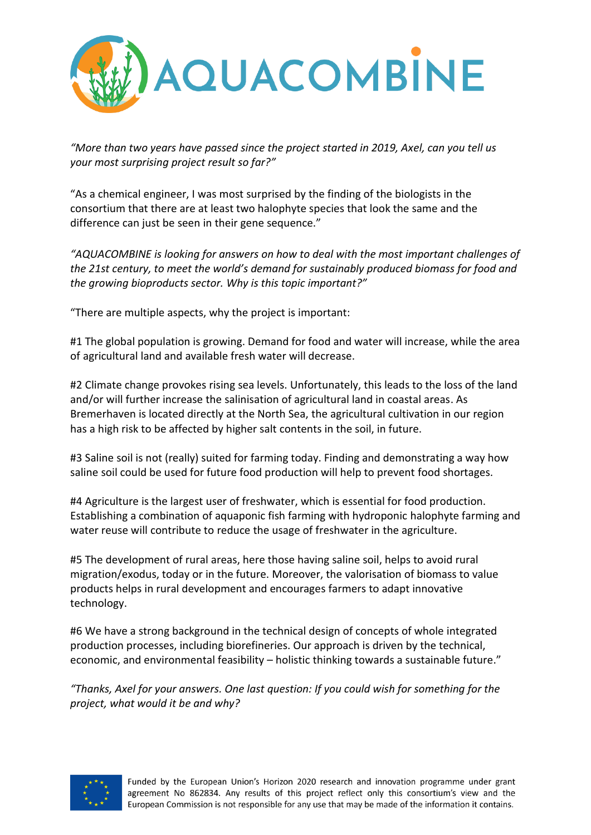

*"More than two years have passed since the project started in 2019, Axel, can you tell us your most surprising project result so far?"*

"As a chemical engineer, I was most surprised by the finding of the biologists in the consortium that there are at least two halophyte species that look the same and the difference can just be seen in their gene sequence."

*"AQUACOMBINE is looking for answers on how to deal with the most important challenges of the 21st century, to meet the world's demand for sustainably produced biomass for food and the growing bioproducts sector. Why is this topic important?"*

"There are multiple aspects, why the project is important:

#1 The global population is growing. Demand for food and water will increase, while the area of agricultural land and available fresh water will decrease.

#2 Climate change provokes rising sea levels. Unfortunately, this leads to the loss of the land and/or will further increase the salinisation of agricultural land in coastal areas. As Bremerhaven is located directly at the North Sea, the agricultural cultivation in our region has a high risk to be affected by higher salt contents in the soil, in future.

#3 Saline soil is not (really) suited for farming today. Finding and demonstrating a way how saline soil could be used for future food production will help to prevent food shortages.

#4 Agriculture is the largest user of freshwater, which is essential for food production. Establishing a combination of aquaponic fish farming with hydroponic halophyte farming and water reuse will contribute to reduce the usage of freshwater in the agriculture.

#5 The development of rural areas, here those having saline soil, helps to avoid rural migration/exodus, today or in the future. Moreover, the valorisation of biomass to value products helps in rural development and encourages farmers to adapt innovative technology.

#6 We have a strong background in the technical design of concepts of whole integrated production processes, including biorefineries. Our approach is driven by the technical, economic, and environmental feasibility – holistic thinking towards a sustainable future."

*"Thanks, Axel for your answers. One last question: If you could wish for something for the project, what would it be and why?*